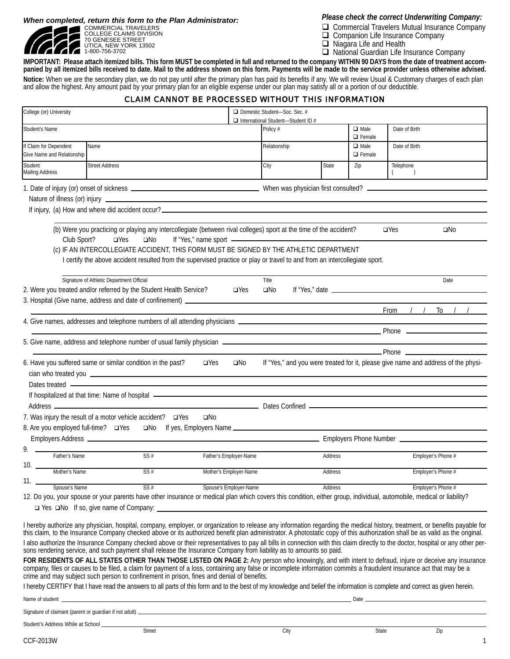*When completed, return this form to the Plan Administrator:*



COMMERCIAL TRAVELERS COLLEGE CLAIMS DIVISION 70 GENESEE STREET UTICA, NEW YORK 13502 1-800-756-3702

*Please check the correct Underwriting Company:*

- Commercial Travelers Mutual Insurance Company
- Companion Life Insurance Company
- □ Niagara Life and Health
- □ National Guardian Life Insurance Company

**IMPORTANT: Please attach itemized bills. This form MUST be completed in full and returned to the company WITHIN 90 DAYS from the date of treatment accompanied by all itemized bills received to date. Mail to the address shown on this form. Payments will be made to the service provider unless otherwise advised. Notice:** When we are the secondary plan, we do not pay until after the primary plan has paid its benefits if any. We will review Usual & Customary charges of each plan and allow the highest. Any amount paid by your primary plan for an eligible expense under our plan may satisfy all or a portion of our deductible.

## CLAIM CANNOT BE PROCESSED WITHOUT THIS INFORMATION

| College (or) University                              |                                                                                                                                                                                                                                                                                                                                                                                        |                        | Domestic Student-Soc. Sec. #<br>International Student-Student ID #                        |         |                              |                                                                                                                                                                                                                                           |  |
|------------------------------------------------------|----------------------------------------------------------------------------------------------------------------------------------------------------------------------------------------------------------------------------------------------------------------------------------------------------------------------------------------------------------------------------------------|------------------------|-------------------------------------------------------------------------------------------|---------|------------------------------|-------------------------------------------------------------------------------------------------------------------------------------------------------------------------------------------------------------------------------------------|--|
| Student's Name                                       |                                                                                                                                                                                                                                                                                                                                                                                        |                        | Policy #                                                                                  |         | $\Box$ Male<br>$\Box$ Female | Date of Birth                                                                                                                                                                                                                             |  |
| If Claim for Dependent<br>Give Name and Relationship | Name                                                                                                                                                                                                                                                                                                                                                                                   |                        | Relationship                                                                              |         | $\Box$ Male<br>$\Box$ Female | Date of Birth                                                                                                                                                                                                                             |  |
| Student<br>Mailing Address                           | <b>Street Address</b>                                                                                                                                                                                                                                                                                                                                                                  |                        | City                                                                                      | State   | Zip                          | Telephone<br>$\rightarrow$<br>$\left($                                                                                                                                                                                                    |  |
|                                                      |                                                                                                                                                                                                                                                                                                                                                                                        |                        |                                                                                           |         |                              |                                                                                                                                                                                                                                           |  |
|                                                      | Nature of illness (or) injury <b>contained a set of the contact of the contact of the contact of the contact of the contact of the contact of the contact of the contact of the contact of the contact of the contact of the con</b>                                                                                                                                                   |                        |                                                                                           |         |                              |                                                                                                                                                                                                                                           |  |
|                                                      |                                                                                                                                                                                                                                                                                                                                                                                        |                        |                                                                                           |         |                              |                                                                                                                                                                                                                                           |  |
|                                                      | (b) Were you practicing or playing any intercollegiate (between rival colleges) sport at the time of the accident?                                                                                                                                                                                                                                                                     |                        |                                                                                           |         |                              | $\Box$ Yes<br>$\square$ No                                                                                                                                                                                                                |  |
| Club Sport?                                          | If "Yes," name sport -<br>$\Box$ Yes<br>$\square$ No                                                                                                                                                                                                                                                                                                                                   |                        |                                                                                           |         |                              |                                                                                                                                                                                                                                           |  |
|                                                      | (c) IF AN INTERCOLLEGIATE ACCIDENT, THIS FORM MUST BE SIGNED BY THE ATHLETIC DEPARTMENT<br>I certify the above accident resulted from the supervised practice or play or travel to and from an intercollegiate sport.                                                                                                                                                                  |                        |                                                                                           |         |                              |                                                                                                                                                                                                                                           |  |
|                                                      | Signature of Athletic Department Official<br>2. Were you treated and/or referred by the Student Health Service?                                                                                                                                                                                                                                                                        | $\Box$ Yes             | Title<br>$\square$ No                                                                     |         |                              | Date<br>If "Yes," date $\sqrt{2\pi}$ date $\sqrt{2\pi}$                                                                                                                                                                                   |  |
|                                                      | 3. Hospital (Give name, address and date of confinement) _______________________                                                                                                                                                                                                                                                                                                       |                        | the control of the control of the control of the control of the control of the control of |         |                              | $\frac{1}{2}$<br>To<br>$\frac{1}{2}$<br>From                                                                                                                                                                                              |  |
|                                                      | 4. Give names, addresses and telephone numbers of all attending physicians ___________________________________                                                                                                                                                                                                                                                                         |                        |                                                                                           |         |                              |                                                                                                                                                                                                                                           |  |
|                                                      |                                                                                                                                                                                                                                                                                                                                                                                        |                        |                                                                                           |         |                              | <u>Phone</u> Phone <b>Contract Contract Contract Contract Contract Contract Contract Contract Contract Contract Contract Contract Contract Contract Contract Contract Contract Contract Contract Contract Contract Contract Contract </b> |  |
|                                                      |                                                                                                                                                                                                                                                                                                                                                                                        |                        |                                                                                           |         |                              | <b>Example 2016</b> Phone 2016                                                                                                                                                                                                            |  |
|                                                      | 6. Have you suffered same or similar condition in the past?<br>$\square$ Yes<br>cian who treated you <b>contact the contact of the contact of the contact of the contact of the contact of the contact of the contact of the contact of the contact of the contact of the contact of the contact of the contact </b>                                                                   | $\square$ No           |                                                                                           |         |                              | If "Yes," and you were treated for it, please give name and address of the physi-                                                                                                                                                         |  |
|                                                      | Dates treated <b>example and the contract of the contract of the contract of the contract of the contract of the contract of the contract of the contract of the contract of the contract of the contract of the contract of the</b>                                                                                                                                                   |                        |                                                                                           |         |                              |                                                                                                                                                                                                                                           |  |
|                                                      | If hospitalized at that time: Name of hospital - The manufacture of the state of the state of the state of the state of the state of the state of the state of the state of the state of the state of the state of the state o                                                                                                                                                         |                        |                                                                                           |         |                              |                                                                                                                                                                                                                                           |  |
|                                                      | 7. Was injury the result of a motor vehicle accident? □ Yes<br>$\square$ No                                                                                                                                                                                                                                                                                                            |                        |                                                                                           |         |                              |                                                                                                                                                                                                                                           |  |
| 8. Are you employed full-time? □ Yes                 | and If yes, Employers Name                                                                                                                                                                                                                                                                                                                                                             |                        |                                                                                           |         |                              |                                                                                                                                                                                                                                           |  |
|                                                      |                                                                                                                                                                                                                                                                                                                                                                                        |                        | Employers Phone Number _________________                                                  |         |                              |                                                                                                                                                                                                                                           |  |
| 9.<br>Father's Name                                  | SS#                                                                                                                                                                                                                                                                                                                                                                                    | Father's Employer-Name |                                                                                           | Address |                              | Employer's Phone #                                                                                                                                                                                                                        |  |
| 10.<br>Mother's Name                                 | SS#                                                                                                                                                                                                                                                                                                                                                                                    | Mother's Employer-Name |                                                                                           | Address |                              | Employer's Phone #                                                                                                                                                                                                                        |  |
| 11.<br>Spouse's Name                                 | SS#                                                                                                                                                                                                                                                                                                                                                                                    | Spouse's Employer-Name |                                                                                           | Address |                              | Employer's Phone #                                                                                                                                                                                                                        |  |
|                                                      | 12. Do you, your spouse or your parents have other insurance or medical plan which covers this condition, either group, individual, automobile, medical or liability?                                                                                                                                                                                                                  |                        |                                                                                           |         |                              |                                                                                                                                                                                                                                           |  |
|                                                      |                                                                                                                                                                                                                                                                                                                                                                                        |                        |                                                                                           |         |                              |                                                                                                                                                                                                                                           |  |
|                                                      | I hereby authorize any physician, hospital, company, employer, or organization to release any information regarding the medical history, treatment, or benefits payable for<br>this claim, to the Insurance Company checked above                                                                                                                                                      |                        |                                                                                           |         |                              |                                                                                                                                                                                                                                           |  |
|                                                      | I also authorize the Insurance Company checked above or their representatives to pay all bills in connection with this claim directly to the doctor, hospital or any other per-<br>sons rendering service, and such payment shall release the Insurance Company from liability as to amounts so paid.                                                                                  |                        |                                                                                           |         |                              |                                                                                                                                                                                                                                           |  |
|                                                      | FOR RESIDENTS OF ALL STATES OTHER THAN THOSE LISTED ON PAGE 2: Any person who knowingly, and with intent to defraud, injure or deceive any insurance<br>company, files or causes to be filed, a claim for payment of a loss, containing any false or incomplete information commits a fraudulent insurance act that may be a crime and may subject such person to confinement in priso |                        |                                                                                           |         |                              |                                                                                                                                                                                                                                           |  |
|                                                      | I hereby CERTIFY that I have read the answers to all parts of this form and to the best of my knowledge and belief the information is complete and correct as given herein.                                                                                                                                                                                                            |                        |                                                                                           |         |                              |                                                                                                                                                                                                                                           |  |
|                                                      | Name of student <b>example and the contract of the contract of the contract of the contract of the contract of the contract of the contract of the contract of the contract of the contract of the contract of the contract of t</b>                                                                                                                                                   |                        |                                                                                           |         |                              |                                                                                                                                                                                                                                           |  |
|                                                      |                                                                                                                                                                                                                                                                                                                                                                                        |                        |                                                                                           |         |                              |                                                                                                                                                                                                                                           |  |
|                                                      |                                                                                                                                                                                                                                                                                                                                                                                        |                        |                                                                                           |         |                              |                                                                                                                                                                                                                                           |  |